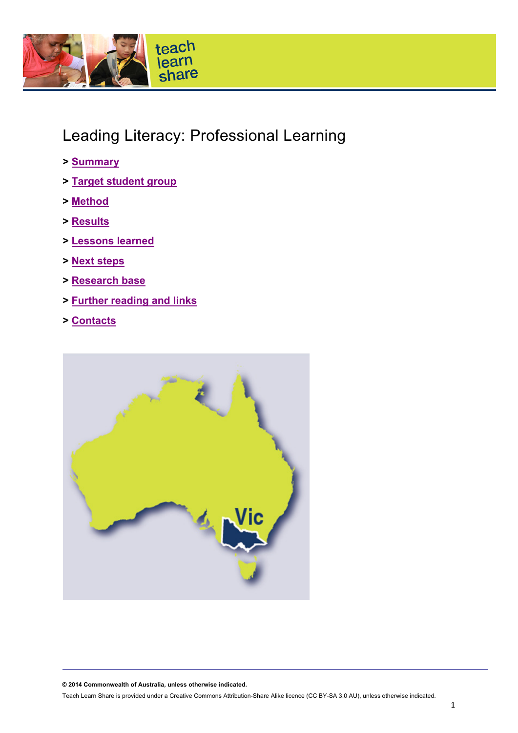

# Leading Literacy: Professional Learning

- **> [Summary](#page-1-0)**
- **> [Target student group](#page-1-1)**
- **> [Method](#page-1-2)**
- **> [Results](#page-3-0)**
- **> [Lessons learned](#page-4-0)**
- **> [Next steps](#page-4-1)**
- **> [Research base](#page-4-2)**
- **> [Further reading and links](#page-5-0)**
- **> [Contacts](#page-5-1)**



**© 2014 Commonwealth of Australia, unless otherwise indicated.**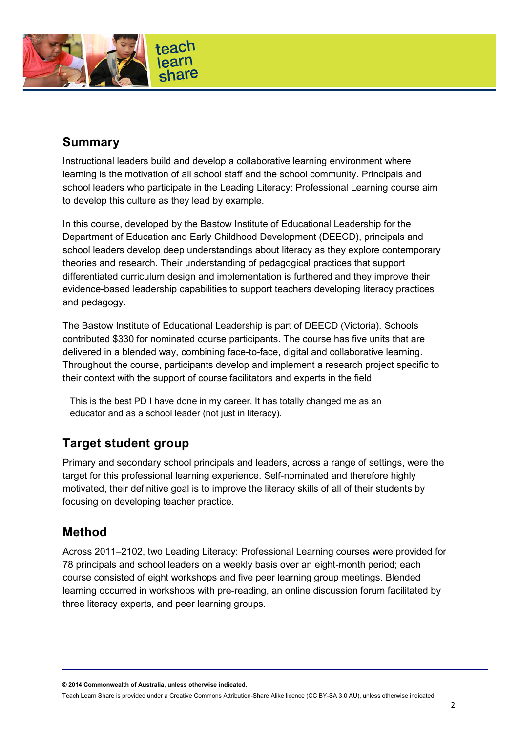

## <span id="page-1-0"></span>**Summary**

Instructional leaders build and develop a collaborative learning environment where learning is the motivation of all school staff and the school community. Principals and school leaders who participate in the Leading Literacy: Professional Learning course aim to develop this culture as they lead by example.

In this course, developed by the Bastow Institute of Educational Leadership for the Department of Education and Early Childhood Development (DEECD), principals and school leaders develop deep understandings about literacy as they explore contemporary theories and research. Their understanding of pedagogical practices that support differentiated curriculum design and implementation is furthered and they improve their evidence-based leadership capabilities to support teachers developing literacy practices and pedagogy.

The Bastow Institute of Educational Leadership is part of DEECD (Victoria). Schools contributed \$330 for nominated course participants. The course has five units that are delivered in a blended way, combining face-to-face, digital and collaborative learning. Throughout the course, participants develop and implement a research project specific to their context with the support of course facilitators and experts in the field.

This is the best PD I have done in my career. It has totally changed me as an educator and as a school leader (not just in literacy).

## <span id="page-1-1"></span>**Target student group**

Primary and secondary school principals and leaders, across a range of settings, were the target for this professional learning experience. Self-nominated and therefore highly motivated, their definitive goal is to improve the literacy skills of all of their students by focusing on developing teacher practice.

### <span id="page-1-2"></span>**Method**

Across 2011–2102, two Leading Literacy: Professional Learning courses were provided for 78 principals and school leaders on a weekly basis over an eight-month period; each course consisted of eight workshops and five peer learning group meetings. Blended learning occurred in workshops with pre-reading, an online discussion forum facilitated by three literacy experts, and peer learning groups.

**© 2014 Commonwealth of Australia, unless otherwise indicated.**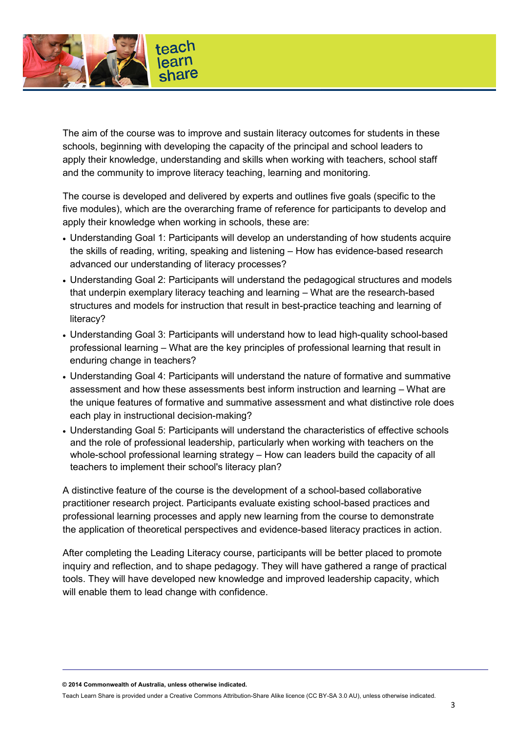

The aim of the course was to improve and sustain literacy outcomes for students in these schools, beginning with developing the capacity of the principal and school leaders to apply their knowledge, understanding and skills when working with teachers, school staff and the community to improve literacy teaching, learning and monitoring.

The course is developed and delivered by experts and outlines five goals (specific to the five modules), which are the overarching frame of reference for participants to develop and apply their knowledge when working in schools, these are:

- Understanding Goal 1: Participants will develop an understanding of how students acquire the skills of reading, writing, speaking and listening – How has evidence-based research advanced our understanding of literacy processes?
- Understanding Goal 2: Participants will understand the pedagogical structures and models that underpin exemplary literacy teaching and learning – What are the research-based structures and models for instruction that result in best-practice teaching and learning of literacy?
- Understanding Goal 3: Participants will understand how to lead high-quality school-based professional learning – What are the key principles of professional learning that result in enduring change in teachers?
- Understanding Goal 4: Participants will understand the nature of formative and summative assessment and how these assessments best inform instruction and learning – What are the unique features of formative and summative assessment and what distinctive role does each play in instructional decision-making?
- Understanding Goal 5: Participants will understand the characteristics of effective schools and the role of professional leadership, particularly when working with teachers on the whole-school professional learning strategy – How can leaders build the capacity of all teachers to implement their school's literacy plan?

A distinctive feature of the course is the development of a school-based collaborative practitioner research project. Participants evaluate existing school-based practices and professional learning processes and apply new learning from the course to demonstrate the application of theoretical perspectives and evidence-based literacy practices in action.

After completing the Leading Literacy course, participants will be better placed to promote inquiry and reflection, and to shape pedagogy. They will have gathered a range of practical tools. They will have developed new knowledge and improved leadership capacity, which will enable them to lead change with confidence.

**© 2014 Commonwealth of Australia, unless otherwise indicated.**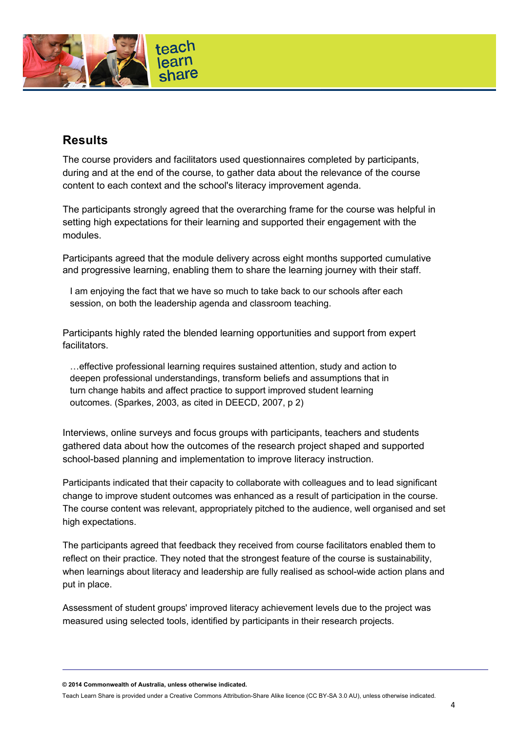

## <span id="page-3-0"></span>**Results**

The course providers and facilitators used questionnaires completed by participants, during and at the end of the course, to gather data about the relevance of the course content to each context and the school's literacy improvement agenda.

The participants strongly agreed that the overarching frame for the course was helpful in setting high expectations for their learning and supported their engagement with the modules.

Participants agreed that the module delivery across eight months supported cumulative and progressive learning, enabling them to share the learning journey with their staff.

I am enjoying the fact that we have so much to take back to our schools after each session, on both the leadership agenda and classroom teaching.

Participants highly rated the blended learning opportunities and support from expert facilitators.

…effective professional learning requires sustained attention, study and action to deepen professional understandings, transform beliefs and assumptions that in turn change habits and affect practice to support improved student learning outcomes. (Sparkes, 2003, as cited in DEECD, 2007, p 2)

Interviews, online surveys and focus groups with participants, teachers and students gathered data about how the outcomes of the research project shaped and supported school-based planning and implementation to improve literacy instruction.

Participants indicated that their capacity to collaborate with colleagues and to lead significant change to improve student outcomes was enhanced as a result of participation in the course. The course content was relevant, appropriately pitched to the audience, well organised and set high expectations.

The participants agreed that feedback they received from course facilitators enabled them to reflect on their practice. They noted that the strongest feature of the course is sustainability, when learnings about literacy and leadership are fully realised as school-wide action plans and put in place.

Assessment of student groups' improved literacy achievement levels due to the project was measured using selected tools, identified by participants in their research projects.

**© 2014 Commonwealth of Australia, unless otherwise indicated.**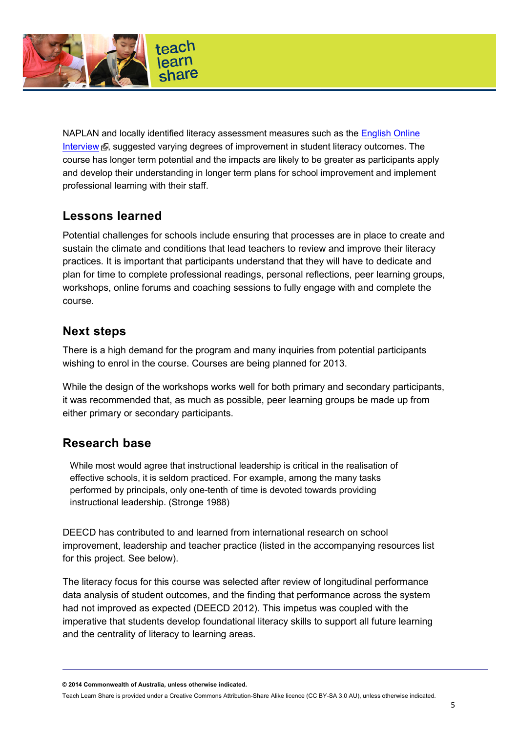

NAPLAN and locally identified literacy assessment measures such as the English Online [Interview](http://www.education.vic.gov.au/school/teachers/teachingresources/discipline/english/assessment/Pages/default.aspx?Redirect=1)  $\Phi$ , suggested varying degrees of improvement in student literacy outcomes. The course has longer term potential and the impacts are likely to be greater as participants apply and develop their understanding in longer term plans for school improvement and implement professional learning with their staff.

## <span id="page-4-0"></span>**Lessons learned**

Potential challenges for schools include ensuring that processes are in place to create and sustain the climate and conditions that lead teachers to review and improve their literacy practices. It is important that participants understand that they will have to dedicate and plan for time to complete professional readings, personal reflections, peer learning groups, workshops, online forums and coaching sessions to fully engage with and complete the course.

### <span id="page-4-1"></span>**Next steps**

There is a high demand for the program and many inquiries from potential participants wishing to enrol in the course. Courses are being planned for 2013.

While the design of the workshops works well for both primary and secondary participants, it was recommended that, as much as possible, peer learning groups be made up from either primary or secondary participants.

### <span id="page-4-2"></span>**Research base**

While most would agree that instructional leadership is critical in the realisation of effective schools, it is seldom practiced. For example, among the many tasks performed by principals, only one-tenth of time is devoted towards providing instructional leadership. (Stronge 1988)

DEECD has contributed to and learned from international research on school improvement, leadership and teacher practice (listed in the accompanying resources list for this project. See below).

The literacy focus for this course was selected after review of longitudinal performance data analysis of student outcomes, and the finding that performance across the system had not improved as expected (DEECD 2012). This impetus was coupled with the imperative that students develop foundational literacy skills to support all future learning and the centrality of literacy to learning areas.

**© 2014 Commonwealth of Australia, unless otherwise indicated.**